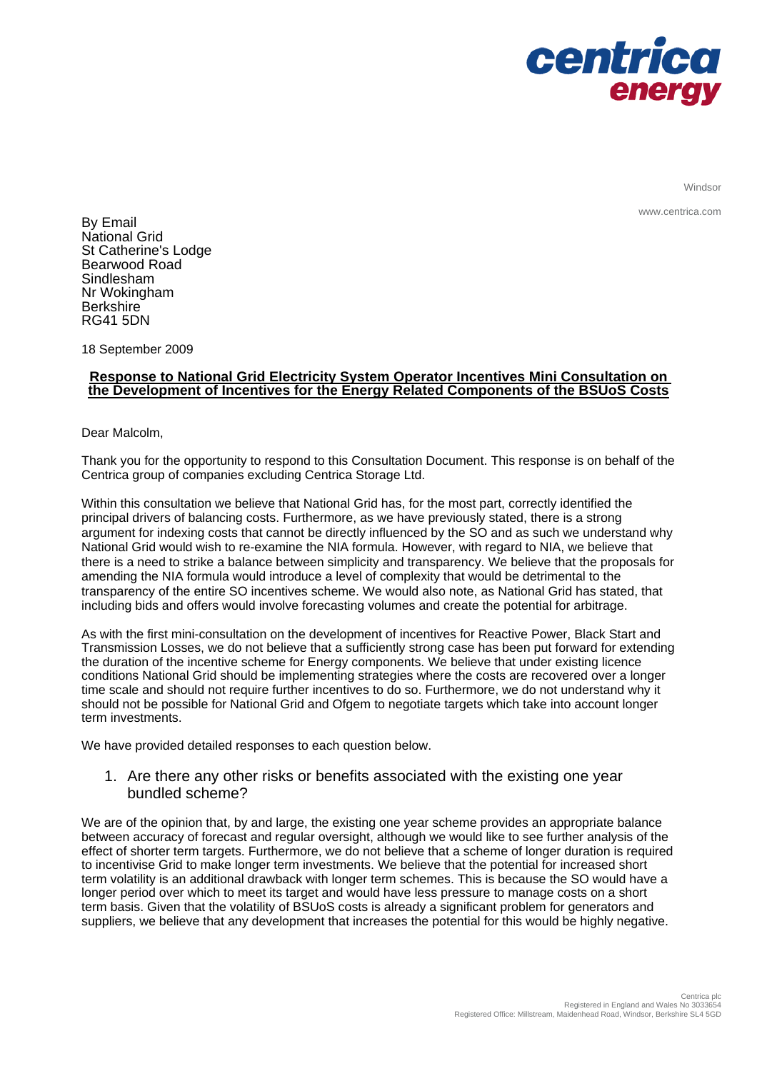

Windsor

www.centrica.com

By Email National Grid St Catherine's Lodge Bearwood Road Sindlesham Nr Wokingham **Berkshire** RG41 5DN

18 September 2009

## **Response to National Grid Electricity System Operator Incentives Mini Consultation on the Development of Incentives for the Energy Related Components of the BSUoS Costs**

Dear Malcolm,

Thank you for the opportunity to respond to this Consultation Document. This response is on behalf of the Centrica group of companies excluding Centrica Storage Ltd.

Within this consultation we believe that National Grid has, for the most part, correctly identified the principal drivers of balancing costs. Furthermore, as we have previously stated, there is a strong argument for indexing costs that cannot be directly influenced by the SO and as such we understand why National Grid would wish to re-examine the NIA formula. However, with regard to NIA, we believe that there is a need to strike a balance between simplicity and transparency. We believe that the proposals for amending the NIA formula would introduce a level of complexity that would be detrimental to the transparency of the entire SO incentives scheme. We would also note, as National Grid has stated, that including bids and offers would involve forecasting volumes and create the potential for arbitrage.

As with the first mini-consultation on the development of incentives for Reactive Power, Black Start and Transmission Losses, we do not believe that a sufficiently strong case has been put forward for extending the duration of the incentive scheme for Energy components. We believe that under existing licence conditions National Grid should be implementing strategies where the costs are recovered over a longer time scale and should not require further incentives to do so. Furthermore, we do not understand why it should not be possible for National Grid and Ofgem to negotiate targets which take into account longer term investments.

We have provided detailed responses to each question below.

1. Are there any other risks or benefits associated with the existing one year bundled scheme?

We are of the opinion that, by and large, the existing one year scheme provides an appropriate balance between accuracy of forecast and regular oversight, although we would like to see further analysis of the effect of shorter term targets. Furthermore, we do not believe that a scheme of longer duration is required to incentivise Grid to make longer term investments. We believe that the potential for increased short term volatility is an additional drawback with longer term schemes. This is because the SO would have a longer period over which to meet its target and would have less pressure to manage costs on a short term basis. Given that the volatility of BSUoS costs is already a significant problem for generators and suppliers, we believe that any development that increases the potential for this would be highly negative.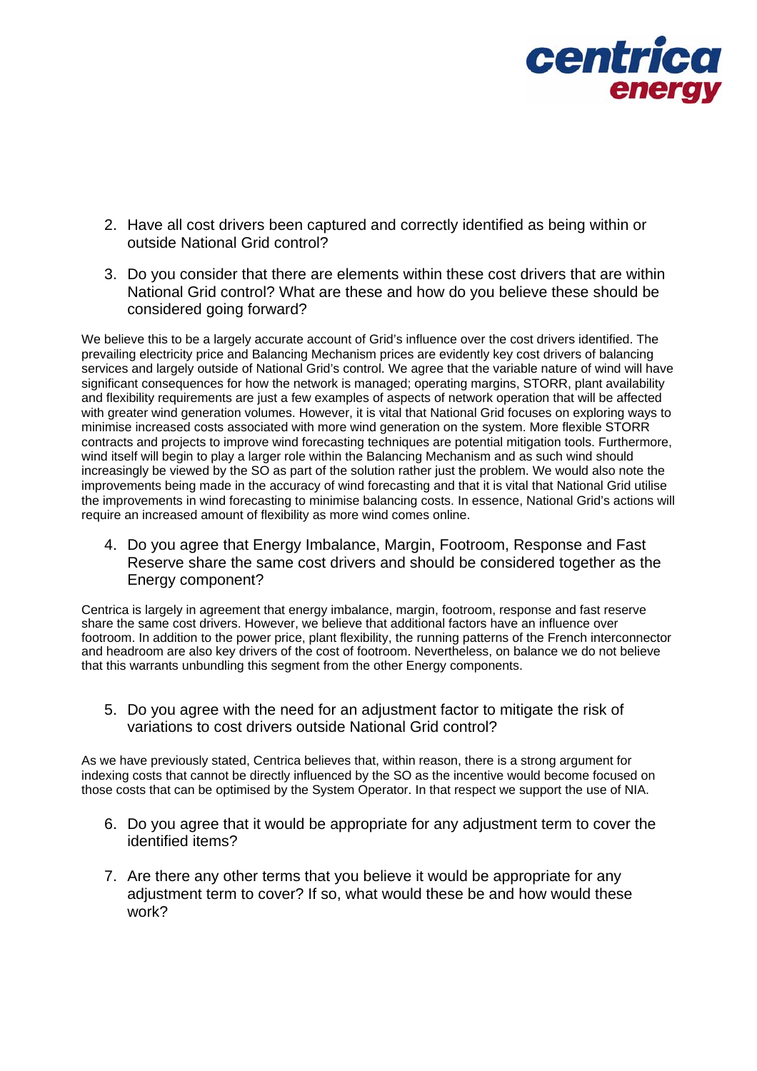

- 2. Have all cost drivers been captured and correctly identified as being within or outside National Grid control?
- 3. Do you consider that there are elements within these cost drivers that are within National Grid control? What are these and how do you believe these should be considered going forward?

We believe this to be a largely accurate account of Grid's influence over the cost drivers identified. The prevailing electricity price and Balancing Mechanism prices are evidently key cost drivers of balancing services and largely outside of National Grid's control. We agree that the variable nature of wind will have significant consequences for how the network is managed; operating margins, STORR, plant availability and flexibility requirements are just a few examples of aspects of network operation that will be affected with greater wind generation volumes. However, it is vital that National Grid focuses on exploring ways to minimise increased costs associated with more wind generation on the system. More flexible STORR contracts and projects to improve wind forecasting techniques are potential mitigation tools. Furthermore, wind itself will begin to play a larger role within the Balancing Mechanism and as such wind should increasingly be viewed by the SO as part of the solution rather just the problem. We would also note the improvements being made in the accuracy of wind forecasting and that it is vital that National Grid utilise the improvements in wind forecasting to minimise balancing costs. In essence, National Grid's actions will require an increased amount of flexibility as more wind comes online.

4. Do you agree that Energy Imbalance, Margin, Footroom, Response and Fast Reserve share the same cost drivers and should be considered together as the Energy component?

Centrica is largely in agreement that energy imbalance, margin, footroom, response and fast reserve share the same cost drivers. However, we believe that additional factors have an influence over footroom. In addition to the power price, plant flexibility, the running patterns of the French interconnector and headroom are also key drivers of the cost of footroom. Nevertheless, on balance we do not believe that this warrants unbundling this segment from the other Energy components.

5. Do you agree with the need for an adjustment factor to mitigate the risk of variations to cost drivers outside National Grid control?

As we have previously stated, Centrica believes that, within reason, there is a strong argument for indexing costs that cannot be directly influenced by the SO as the incentive would become focused on those costs that can be optimised by the System Operator. In that respect we support the use of NIA.

- 6. Do you agree that it would be appropriate for any adjustment term to cover the identified items?
- 7. Are there any other terms that you believe it would be appropriate for any adjustment term to cover? If so, what would these be and how would these work?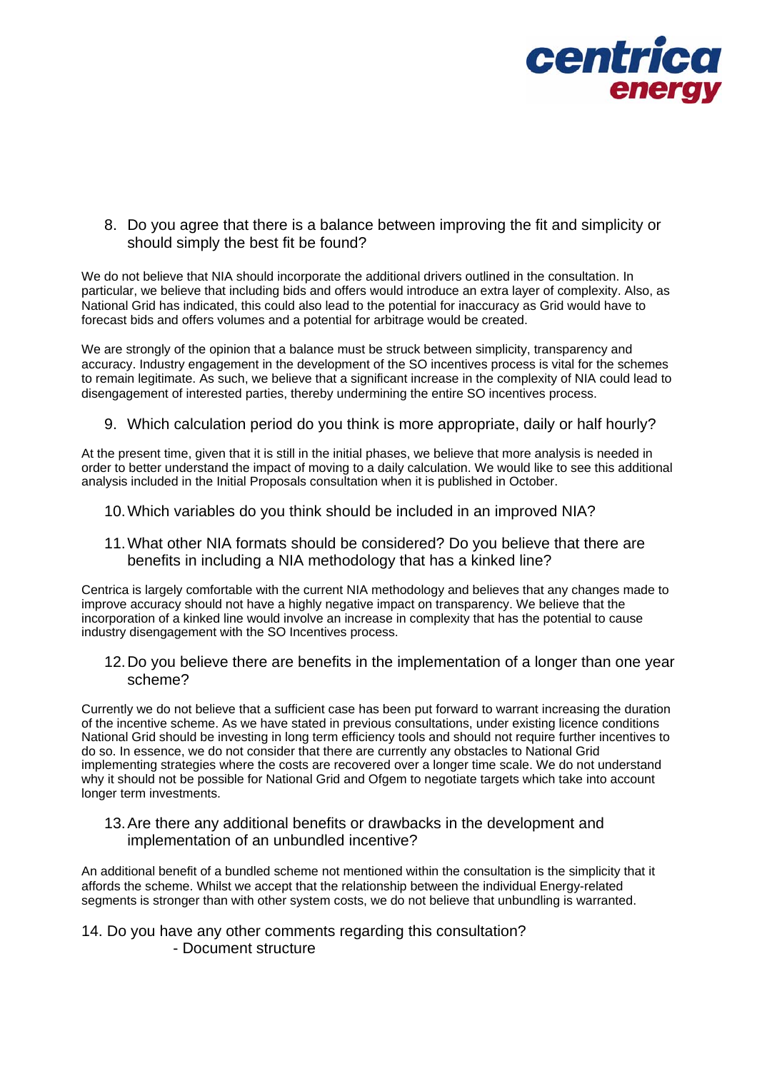

8. Do you agree that there is a balance between improving the fit and simplicity or should simply the best fit be found?

We do not believe that NIA should incorporate the additional drivers outlined in the consultation. In particular, we believe that including bids and offers would introduce an extra layer of complexity. Also, as National Grid has indicated, this could also lead to the potential for inaccuracy as Grid would have to forecast bids and offers volumes and a potential for arbitrage would be created.

We are strongly of the opinion that a balance must be struck between simplicity, transparency and accuracy. Industry engagement in the development of the SO incentives process is vital for the schemes to remain legitimate. As such, we believe that a significant increase in the complexity of NIA could lead to disengagement of interested parties, thereby undermining the entire SO incentives process.

9. Which calculation period do you think is more appropriate, daily or half hourly?

At the present time, given that it is still in the initial phases, we believe that more analysis is needed in order to better understand the impact of moving to a daily calculation. We would like to see this additional analysis included in the Initial Proposals consultation when it is published in October.

- 10. Which variables do you think should be included in an improved NIA?
- 11. What other NIA formats should be considered? Do you believe that there are benefits in including a NIA methodology that has a kinked line?

Centrica is largely comfortable with the current NIA methodology and believes that any changes made to improve accuracy should not have a highly negative impact on transparency. We believe that the incorporation of a kinked line would involve an increase in complexity that has the potential to cause industry disengagement with the SO Incentives process.

12. Do you believe there are benefits in the implementation of a longer than one year scheme?

Currently we do not believe that a sufficient case has been put forward to warrant increasing the duration of the incentive scheme. As we have stated in previous consultations, under existing licence conditions National Grid should be investing in long term efficiency tools and should not require further incentives to do so. In essence, we do not consider that there are currently any obstacles to National Grid implementing strategies where the costs are recovered over a longer time scale. We do not understand why it should not be possible for National Grid and Ofgem to negotiate targets which take into account longer term investments.

13. Are there any additional benefits or drawbacks in the development and implementation of an unbundled incentive?

An additional benefit of a bundled scheme not mentioned within the consultation is the simplicity that it affords the scheme. Whilst we accept that the relationship between the individual Energy-related segments is stronger than with other system costs, we do not believe that unbundling is warranted.

## 14. Do you have any other comments regarding this consultation? - Document structure